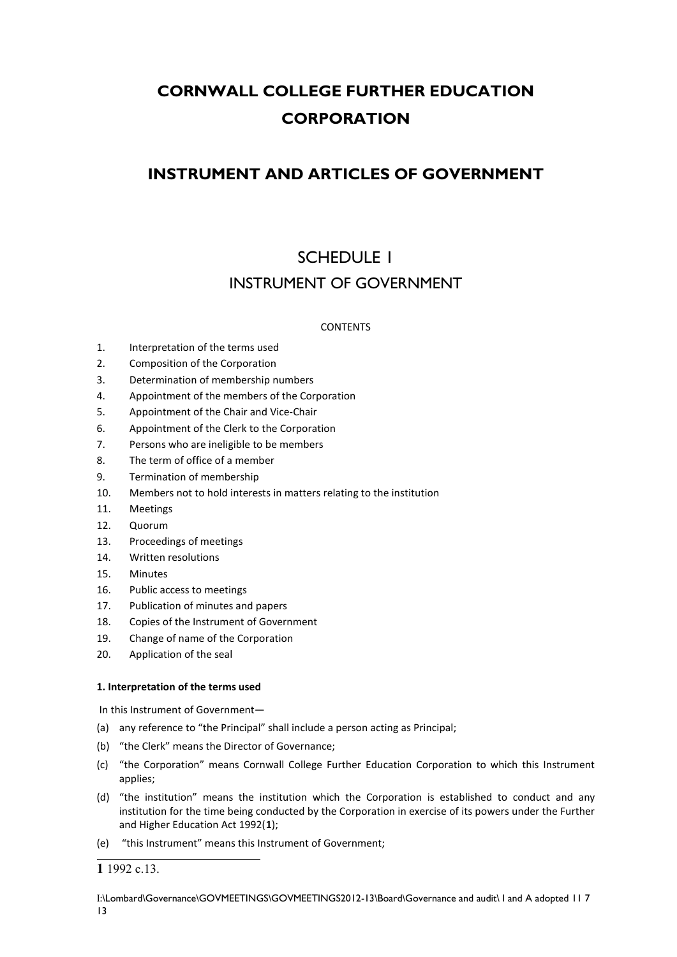# **CORNWALL COLLEGE FURTHER EDUCATION CORPORATION**

## **INSTRUMENT AND ARTICLES OF GOVERNMENT**

# SCHEDULE 1 INSTRUMENT OF GOVERNMENT

## CONTENTS

- 1. Interpretation of the terms used
- 2. Composition of the Corporation
- 3. Determination of membership numbers
- 4. Appointment of the members of the Corporation
- 5. Appointment of the Chair and Vice-Chair
- 6. Appointment of the Clerk to the Corporation
- 7. Persons who are ineligible to be members
- 8. The term of office of a member
- 9. Termination of membership
- 10. Members not to hold interests in matters relating to the institution
- 11. Meetings
- 12. Quorum
- 13. Proceedings of meetings
- 14. Written resolutions
- 15. Minutes
- 16. Public access to meetings
- 17. Publication of minutes and papers
- 18. Copies of the Instrument of Government
- 19. Change of name of the Corporation
- 20. Application of the seal

## **1. Interpretation of the terms used**

In this Instrument of Government—

- (a) any reference to "the Principal" shall include a person acting as Principal;
- (b) "the Clerk" means the Director of Governance;
- (c) "the Corporation" means Cornwall College Further Education Corporation to which this Instrument applies;
- (d) "the institution" means the institution which the Corporation is established to conduct and any institution for the time being conducted by the Corporation in exercise of its powers under the Further and Higher Education Act 1992(**[1](#page-0-0)**);
- (e) "this Instrument" means this Instrument of Government;

<span id="page-0-0"></span>**<sup>1</sup>** 1992 c.13.

I:\Lombard\Governance\GOVMEETINGS\GOVMEETINGS2012-13\Board\Governance and audit\ I and A adopted 11 7 13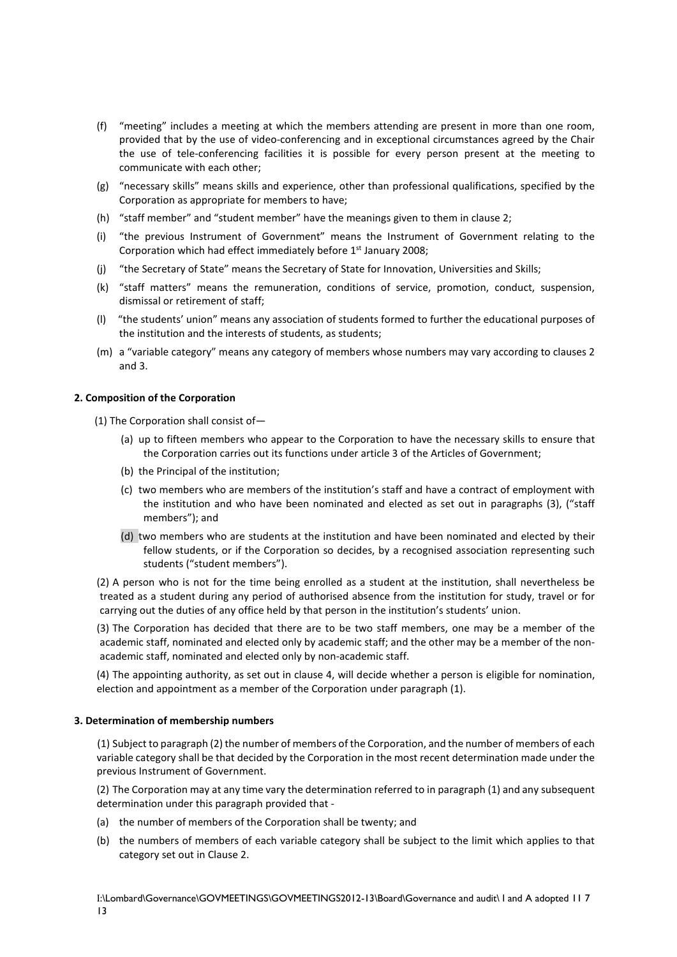- (f) "meeting" includes a meeting at which the members attending are present in more than one room, provided that by the use of video-conferencing and in exceptional circumstances agreed by the Chair the use of tele-conferencing facilities it is possible for every person present at the meeting to communicate with each other;
- (g) "necessary skills" means skills and experience, other than professional qualifications, specified by the Corporation as appropriate for members to have;
- (h) "staff member" and "student member" have the meanings given to them in clause 2;
- (i) "the previous Instrument of Government" means the Instrument of Government relating to the Corporation which had effect immediately before  $1<sup>st</sup>$  January 2008;
- (j) "the Secretary of State" means the Secretary of State for Innovation, Universities and Skills;
- (k) "staff matters" means the remuneration, conditions of service, promotion, conduct, suspension, dismissal or retirement of staff;
- (l) "the students' union" means any association of students formed to further the educational purposes of the institution and the interests of students, as students;
- (m) a "variable category" means any category of members whose numbers may vary according to clauses 2 and 3.

#### **2. Composition of the Corporation**

- **2.** (1) The Corporation shall consist of—
	- (a) up to fifteen members who appear to the Corporation to have the necessary skills to ensure that the Corporation carries out its functions under article 3 of the Articles of Government;
	- (b) the Principal of the institution;
	- (c) two members who are members of the institution's staff and have a contract of employment with the institution and who have been nominated and elected as set out in paragraphs (3), ("staff members"); and
	- (d) two members who are students at the institution and have been nominated and elected by their fellow students, or if the Corporation so decides, by a recognised association representing such students ("student members").

(2) A person who is not for the time being enrolled as a student at the institution, shall nevertheless be treated as a student during any period of authorised absence from the institution for study, travel or for carrying out the duties of any office held by that person in the institution's students' union.

(3) The Corporation has decided that there are to be two staff members, one may be a member of the academic staff, nominated and elected only by academic staff; and the other may be a member of the nonacademic staff, nominated and elected only by non-academic staff.

(4) The appointing authority, as set out in clause 4, will decide whether a person is eligible for nomination, election and appointment as a member of the Corporation under paragraph (1).

#### **3. Determination of membership numbers**

**3.** (1) Subject to paragraph (2) the number of members of the Corporation, and the number of members of each variable category shall be that decided by the Corporation in the most recent determination made under the previous Instrument of Government.

(2) The Corporation may at any time vary the determination referred to in paragraph (1) and any subsequent determination under this paragraph provided that -

- (a) the number of members of the Corporation shall be twenty; and
- (b) the numbers of members of each variable category shall be subject to the limit which applies to that category set out in Clause 2.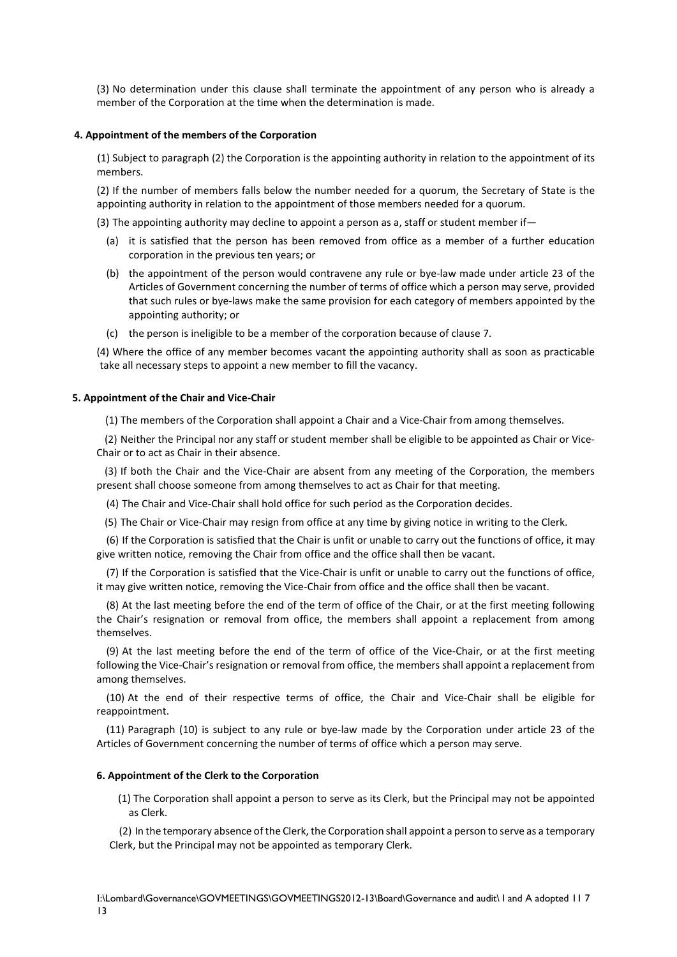(3) No determination under this clause shall terminate the appointment of any person who is already a member of the Corporation at the time when the determination is made.

### **4. Appointment of the members of the Corporation**

**4.** (1) Subject to paragraph (2) the Corporation is the appointing authority in relation to the appointment of its members.

(2) If the number of members falls below the number needed for a quorum, the Secretary of State is the appointing authority in relation to the appointment of those members needed for a quorum.

(3) The appointing authority may decline to appoint a person as a, staff or student member if  $-$ 

- (a) it is satisfied that the person has been removed from office as a member of a further education corporation in the previous ten years; or
- (b) the appointment of the person would contravene any rule or bye-law made under article 23 of the Articles of Government concerning the number of terms of office which a person may serve, provided that such rules or bye-laws make the same provision for each category of members appointed by the appointing authority; or
- (c) the person is ineligible to be a member of the corporation because of clause 7.

(4) Where the office of any member becomes vacant the appointing authority shall as soon as practicable take all necessary steps to appoint a new member to fill the vacancy.

#### **5. Appointment of the Chair and Vice-Chair**

**5.** (1) The members of the Corporation shall appoint a Chair and a Vice-Chair from among themselves.

(2) Neither the Principal nor any staff or student member shall be eligible to be appointed as Chair or Vice-Chair or to act as Chair in their absence.

(3) If both the Chair and the Vice-Chair are absent from any meeting of the Corporation, the members present shall choose someone from among themselves to act as Chair for that meeting.

(4) The Chair and Vice-Chair shall hold office for such period as the Corporation decides.

(5) The Chair or Vice-Chair may resign from office at any time by giving notice in writing to the Clerk.

(6) If the Corporation is satisfied that the Chair is unfit or unable to carry out the functions of office, it may give written notice, removing the Chair from office and the office shall then be vacant.

(7) If the Corporation is satisfied that the Vice-Chair is unfit or unable to carry out the functions of office, it may give written notice, removing the Vice-Chair from office and the office shall then be vacant.

(8) At the last meeting before the end of the term of office of the Chair, or at the first meeting following the Chair's resignation or removal from office, the members shall appoint a replacement from among themselves.

(9) At the last meeting before the end of the term of office of the Vice-Chair, or at the first meeting following the Vice-Chair's resignation or removal from office, the members shall appoint a replacement from among themselves.

(10) At the end of their respective terms of office, the Chair and Vice-Chair shall be eligible for reappointment.

(11) Paragraph (10) is subject to any rule or bye-law made by the Corporation under article 23 of the Articles of Government concerning the number of terms of office which a person may serve.

## **6. Appointment of the Clerk to the Corporation**

**6.** (1) The Corporation shall appoint a person to serve as its Clerk, but the Principal may not be appointed as Clerk.

(2) In the temporary absence of the Clerk, the Corporation shall appoint a person to serve as a temporary Clerk, but the Principal may not be appointed as temporary Clerk.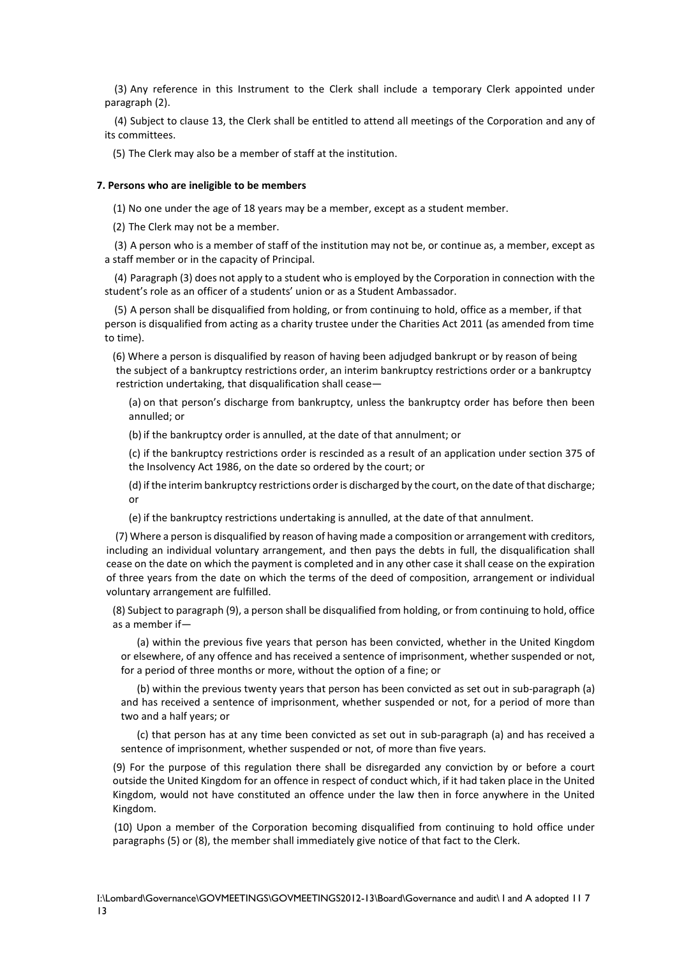(3) Any reference in this Instrument to the Clerk shall include a temporary Clerk appointed under paragraph (2).

(4) Subject to clause 13, the Clerk shall be entitled to attend all meetings of the Corporation and any of its committees.

(5) The Clerk may also be a member of staff at the institution.

#### **7. Persons who are ineligible to be members**

**7.** (1) No one under the age of 18 years may be a member, except as a student member.

(2) The Clerk may not be a member.

(3) A person who is a member of staff of the institution may not be, or continue as, a member, except as a staff member or in the capacity of Principal.

(4) Paragraph (3) does not apply to a student who is employed by the Corporation in connection with the student's role as an officer of a students' union or as a Student Ambassador.

(5) A person shall be disqualified from holding, or from continuing to hold, office as a member, if that person is disqualified from acting as a charity trustee under the Charities Act 2011 (as amended from time to time).

(6) Where a person is disqualified by reason of having been adjudged bankrupt or by reason of being the subject of a bankruptcy restrictions order, an interim bankruptcy restrictions order or a bankruptcy restriction undertaking, that disqualification shall cease—

(a) on that person's discharge from bankruptcy, unless the bankruptcy order has before then been annulled; or

(b) if the bankruptcy order is annulled, at the date of that annulment; or

(c) if the bankruptcy restrictions order is rescinded as a result of an application under section 375 of the Insolvency Act 1986, on the date so ordered by the court; or

(d) if the interim bankruptcy restrictions order is discharged by the court, on the date of that discharge; or

(e) if the bankruptcy restrictions undertaking is annulled, at the date of that annulment.

(7) Where a person is disqualified by reason of having made a composition or arrangement with creditors, including an individual voluntary arrangement, and then pays the debts in full, the disqualification shall cease on the date on which the payment is completed and in any other case it shall cease on the expiration of three years from the date on which the terms of the deed of composition, arrangement or individual voluntary arrangement are fulfilled.

(8) Subject to paragraph (9), a person shall be disqualified from holding, or from continuing to hold, office as a member if—

(a) within the previous five years that person has been convicted, whether in the United Kingdom or elsewhere, of any offence and has received a sentence of imprisonment, whether suspended or not, for a period of three months or more, without the option of a fine; or

(b) within the previous twenty years that person has been convicted as set out in sub-paragraph (a) and has received a sentence of imprisonment, whether suspended or not, for a period of more than two and a half years; or

(c) that person has at any time been convicted as set out in sub-paragraph (a) and has received a sentence of imprisonment, whether suspended or not, of more than five years.

(9) For the purpose of this regulation there shall be disregarded any conviction by or before a court outside the United Kingdom for an offence in respect of conduct which, if it had taken place in the United Kingdom, would not have constituted an offence under the law then in force anywhere in the United Kingdom.

 (10) Upon a member of the Corporation becoming disqualified from continuing to hold office under paragraphs (5) or (8), the member shall immediately give notice of that fact to the Clerk.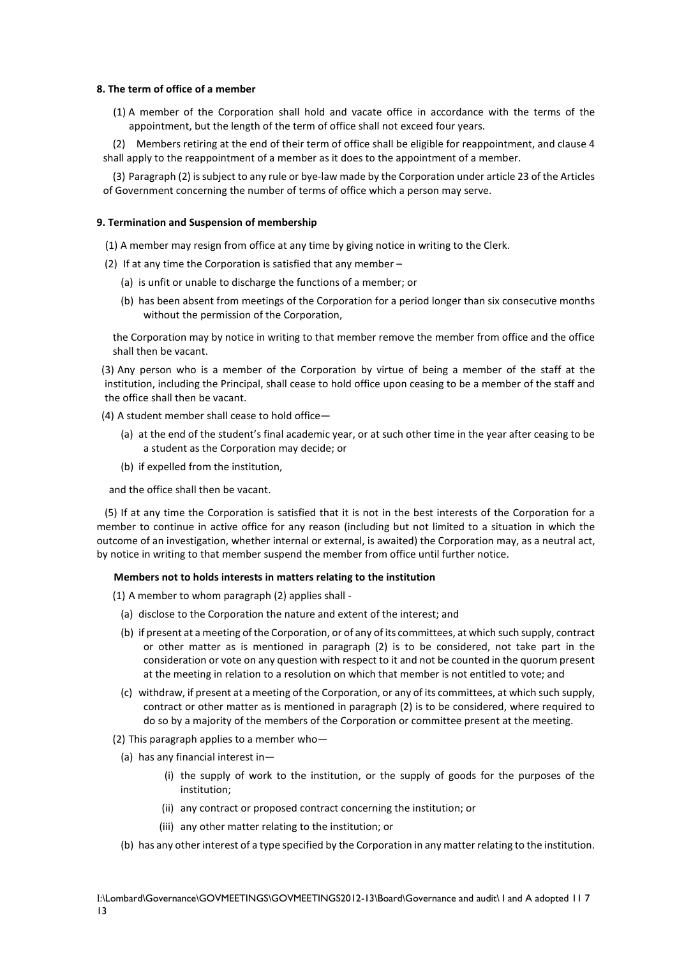## **8. The term of office of a member**

**8.** (1) A member of the Corporation shall hold and vacate office in accordance with the terms of the appointment, but the length of the term of office shall not exceed four years.

(2) Members retiring at the end of their term of office shall be eligible for reappointment, and clause 4 shall apply to the reappointment of a member as it does to the appointment of a member.

(3) Paragraph (2) is subject to any rule or bye-law made by the Corporation under article 23 of the Articles of Government concerning the number of terms of office which a person may serve.

#### **9. Termination and Suspension of membership**

- **9.** (1) A member may resign from office at any time by giving notice in writing to the Clerk.
- (2) If at any time the Corporation is satisfied that any member
	- (a) is unfit or unable to discharge the functions of a member; or
	- (b) has been absent from meetings of the Corporation for a period longer than six consecutive months without the permission of the Corporation,

the Corporation may by notice in writing to that member remove the member from office and the office shall then be vacant.

(3) Any person who is a member of the Corporation by virtue of being a member of the staff at the institution, including the Principal, shall cease to hold office upon ceasing to be a member of the staff and the office shall then be vacant.

(4) A student member shall cease to hold office—

- (a) at the end of the student's final academic year, or at such other time in the year after ceasing to be a student as the Corporation may decide; or
- (b) if expelled from the institution,

and the office shall then be vacant.

(5) If at any time the Corporation is satisfied that it is not in the best interests of the Corporation for a member to continue in active office for any reason (including but not limited to a situation in which the outcome of an investigation, whether internal or external, is awaited) the Corporation may, as a neutral act, by notice in writing to that member suspend the member from office until further notice.

#### **10. Members not to holds interests in matters relating to the institution**

(1) A member to whom paragraph (2) applies shall -

- (a) disclose to the Corporation the nature and extent of the interest; and
- (b) if present at a meeting of the Corporation, or of any of its committees, at which such supply, contract or other matter as is mentioned in paragraph (2) is to be considered, not take part in the consideration or vote on any question with respect to it and not be counted in the quorum present at the meeting in relation to a resolution on which that member is not entitled to vote; and
- (c) withdraw, if present at a meeting of the Corporation, or any of its committees, at which such supply, contract or other matter as is mentioned in paragraph (2) is to be considered, where required to do so by a majority of the members of the Corporation or committee present at the meeting.
- (2) This paragraph applies to a member who—
	- (a) has any financial interest in—
		- (i) the supply of work to the institution, or the supply of goods for the purposes of the institution;
		- (ii) any contract or proposed contract concerning the institution; or
		- (iii) any other matter relating to the institution; or
	- (b) has any other interest of a type specified by the Corporation in any matter relating to the institution.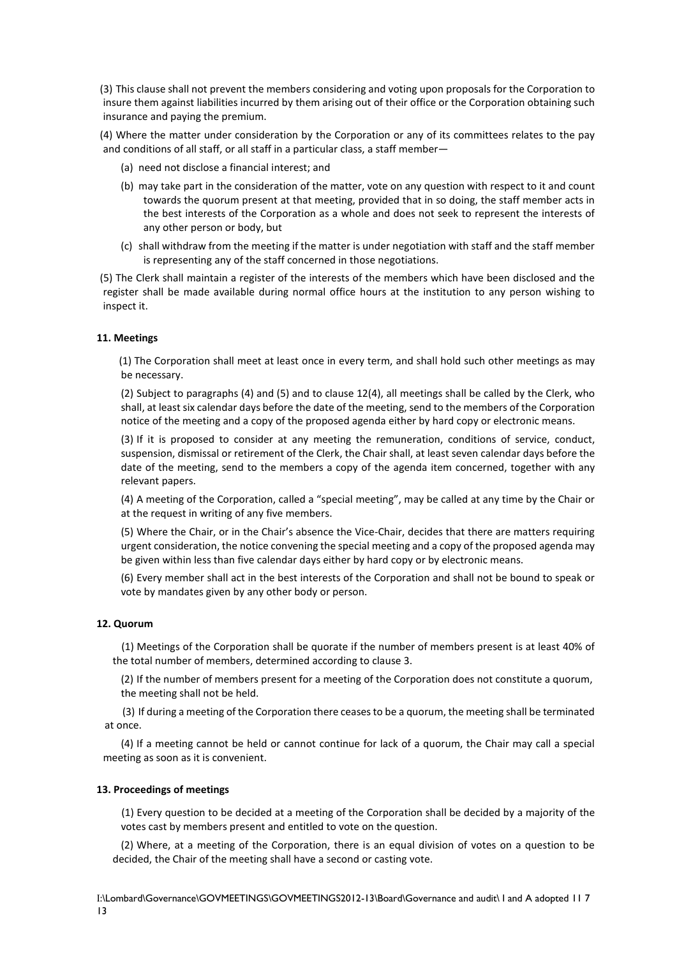(3) This clause shall not prevent the members considering and voting upon proposals for the Corporation to insure them against liabilities incurred by them arising out of their office or the Corporation obtaining such insurance and paying the premium.

(4) Where the matter under consideration by the Corporation or any of its committees relates to the pay and conditions of all staff, or all staff in a particular class, a staff member—

- (a) need not disclose a financial interest; and
- (b) may take part in the consideration of the matter, vote on any question with respect to it and count towards the quorum present at that meeting, provided that in so doing, the staff member acts in the best interests of the Corporation as a whole and does not seek to represent the interests of any other person or body, but
- (c) shall withdraw from the meeting if the matter is under negotiation with staff and the staff member is representing any of the staff concerned in those negotiations.

(5) The Clerk shall maintain a register of the interests of the members which have been disclosed and the register shall be made available during normal office hours at the institution to any person wishing to inspect it.

## **11. Meetings**

**11.** (1) The Corporation shall meet at least once in every term, and shall hold such other meetings as may be necessary.

(2) Subject to paragraphs (4) and (5) and to clause 12(4), all meetings shall be called by the Clerk, who shall, at least six calendar days before the date of the meeting, send to the members of the Corporation notice of the meeting and a copy of the proposed agenda either by hard copy or electronic means.

(3) If it is proposed to consider at any meeting the remuneration, conditions of service, conduct, suspension, dismissal or retirement of the Clerk, the Chair shall, at least seven calendar days before the date of the meeting, send to the members a copy of the agenda item concerned, together with any relevant papers.

(4) A meeting of the Corporation, called a "special meeting", may be called at any time by the Chair or at the request in writing of any five members.

(5) Where the Chair, or in the Chair's absence the Vice-Chair, decides that there are matters requiring urgent consideration, the notice convening the special meeting and a copy of the proposed agenda may be given within less than five calendar days either by hard copy or by electronic means.

(6) Every member shall act in the best interests of the Corporation and shall not be bound to speak or vote by mandates given by any other body or person.

#### **12. Quorum**

**12.** (1) Meetings of the Corporation shall be quorate if the number of members present is at least 40% of the total number of members, determined according to clause 3.

(2) If the number of members present for a meeting of the Corporation does not constitute a quorum, the meeting shall not be held.

(3) If during a meeting of the Corporation there ceases to be a quorum, the meeting shall be terminated at once.

(4) If a meeting cannot be held or cannot continue for lack of a quorum, the Chair may call a special meeting as soon as it is convenient.

#### **13. Proceedings of meetings**

**13.** (1) Every question to be decided at a meeting of the Corporation shall be decided by a majority of the votes cast by members present and entitled to vote on the question.

(2) Where, at a meeting of the Corporation, there is an equal division of votes on a question to be decided, the Chair of the meeting shall have a second or casting vote.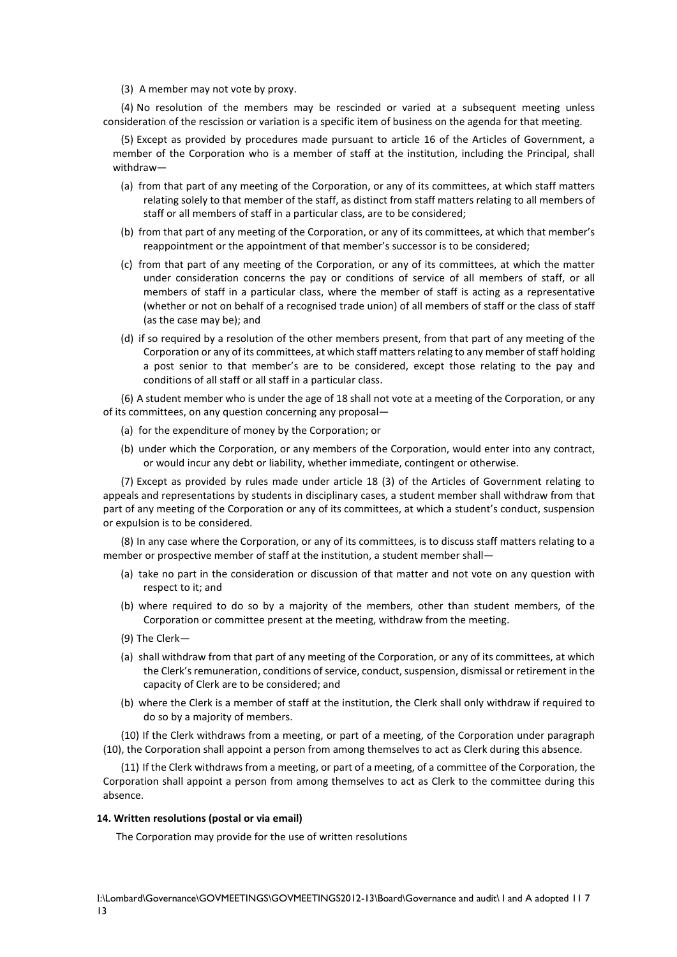(3) A member may not vote by proxy.

(4) No resolution of the members may be rescinded or varied at a subsequent meeting unless consideration of the rescission or variation is a specific item of business on the agenda for that meeting.

(5) Except as provided by procedures made pursuant to article 16 of the Articles of Government, a member of the Corporation who is a member of staff at the institution, including the Principal, shall withdraw—

- (a) from that part of any meeting of the Corporation, or any of its committees, at which staff matters relating solely to that member of the staff, as distinct from staff matters relating to all members of staff or all members of staff in a particular class, are to be considered;
- (b) from that part of any meeting of the Corporation, or any of its committees, at which that member's reappointment or the appointment of that member's successor is to be considered;
- (c) from that part of any meeting of the Corporation, or any of its committees, at which the matter under consideration concerns the pay or conditions of service of all members of staff, or all members of staff in a particular class, where the member of staff is acting as a representative (whether or not on behalf of a recognised trade union) of all members of staff or the class of staff (as the case may be); and
- (d) if so required by a resolution of the other members present, from that part of any meeting of the Corporation or any of its committees, at which staff matters relating to any member of staff holding a post senior to that member's are to be considered, except those relating to the pay and conditions of all staff or all staff in a particular class.

(6) A student member who is under the age of 18 shall not vote at a meeting of the Corporation, or any of its committees, on any question concerning any proposal—

- (a) for the expenditure of money by the Corporation; or
- (b) under which the Corporation, or any members of the Corporation, would enter into any contract, or would incur any debt or liability, whether immediate, contingent or otherwise.

(7) Except as provided by rules made under article 18 (3) of the Articles of Government relating to appeals and representations by students in disciplinary cases, a student member shall withdraw from that part of any meeting of the Corporation or any of its committees, at which a student's conduct, suspension or expulsion is to be considered.

(8) In any case where the Corporation, or any of its committees, is to discuss staff matters relating to a member or prospective member of staff at the institution, a student member shall—

- (a) take no part in the consideration or discussion of that matter and not vote on any question with respect to it; and
- (b) where required to do so by a majority of the members, other than student members, of the Corporation or committee present at the meeting, withdraw from the meeting.
- (9) The Clerk—
- (a) shall withdraw from that part of any meeting of the Corporation, or any of its committees, at which the Clerk's remuneration, conditions of service, conduct, suspension, dismissal or retirement in the capacity of Clerk are to be considered; and
- (b) where the Clerk is a member of staff at the institution, the Clerk shall only withdraw if required to do so by a majority of members.

(10) If the Clerk withdraws from a meeting, or part of a meeting, of the Corporation under paragraph (10), the Corporation shall appoint a person from among themselves to act as Clerk during this absence.

(11) If the Clerk withdraws from a meeting, or part of a meeting, of a committee of the Corporation, the Corporation shall appoint a person from among themselves to act as Clerk to the committee during this absence.

#### **14. Written resolutions (postal or via email)**

The Corporation may provide for the use of written resolutions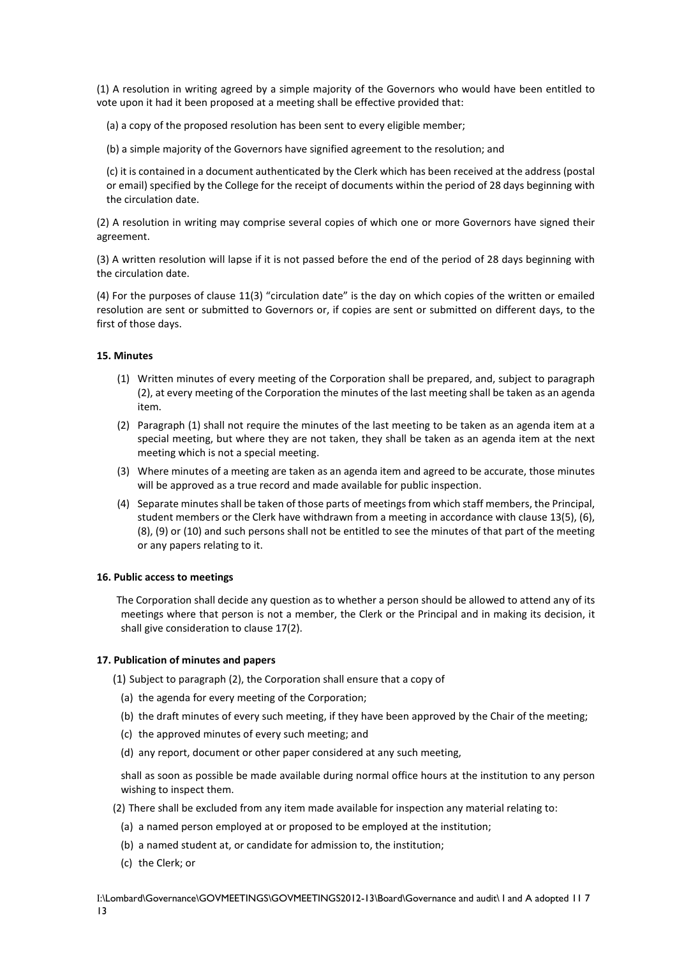(1) A resolution in writing agreed by a simple majority of the Governors who would have been entitled to vote upon it had it been proposed at a meeting shall be effective provided that:

- (a) a copy of the proposed resolution has been sent to every eligible member;
- (b) a simple majority of the Governors have signified agreement to the resolution; and

(c) it is contained in a document authenticated by the Clerk which has been received at the address (postal or email) specified by the College for the receipt of documents within the period of 28 days beginning with the circulation date.

(2) A resolution in writing may comprise several copies of which one or more Governors have signed their agreement.

(3) A written resolution will lapse if it is not passed before the end of the period of 28 days beginning with the circulation date.

(4) For the purposes of clause 11(3) "circulation date" is the day on which copies of the written or emailed resolution are sent or submitted to Governors or, if copies are sent or submitted on different days, to the first of those days.

## **15. Minutes**

- (1) Written minutes of every meeting of the Corporation shall be prepared, and, subject to paragraph (2), at every meeting of the Corporation the minutes of the last meeting shall be taken as an agenda item.
- (2) Paragraph (1) shall not require the minutes of the last meeting to be taken as an agenda item at a special meeting, but where they are not taken, they shall be taken as an agenda item at the next meeting which is not a special meeting.
- (3) Where minutes of a meeting are taken as an agenda item and agreed to be accurate, those minutes will be approved as a true record and made available for public inspection.
- (4) Separate minutes shall be taken of those parts of meetings from which staff members, the Principal, student members or the Clerk have withdrawn from a meeting in accordance with clause 13(5), (6), (8), (9) or (10) and such persons shall not be entitled to see the minutes of that part of the meeting or any papers relating to it.

#### **16. Public access to meetings**

**14.** The Corporation shall decide any question as to whether a person should be allowed to attend any of its meetings where that person is not a member, the Clerk or the Principal and in making its decision, it shall give consideration to clause 17(2).

#### **17. Publication of minutes and papers**

(1) Subject to paragraph (2), the Corporation shall ensure that a copy of

- (a) the agenda for every meeting of the Corporation;
- (b) the draft minutes of every such meeting, if they have been approved by the Chair of the meeting;
- (c) the approved minutes of every such meeting; and
- (d) any report, document or other paper considered at any such meeting,

shall as soon as possible be made available during normal office hours at the institution to any person wishing to inspect them.

(2) There shall be excluded from any item made available for inspection any material relating to:

- (a) a named person employed at or proposed to be employed at the institution;
- (b) a named student at, or candidate for admission to, the institution;
- (c) the Clerk; or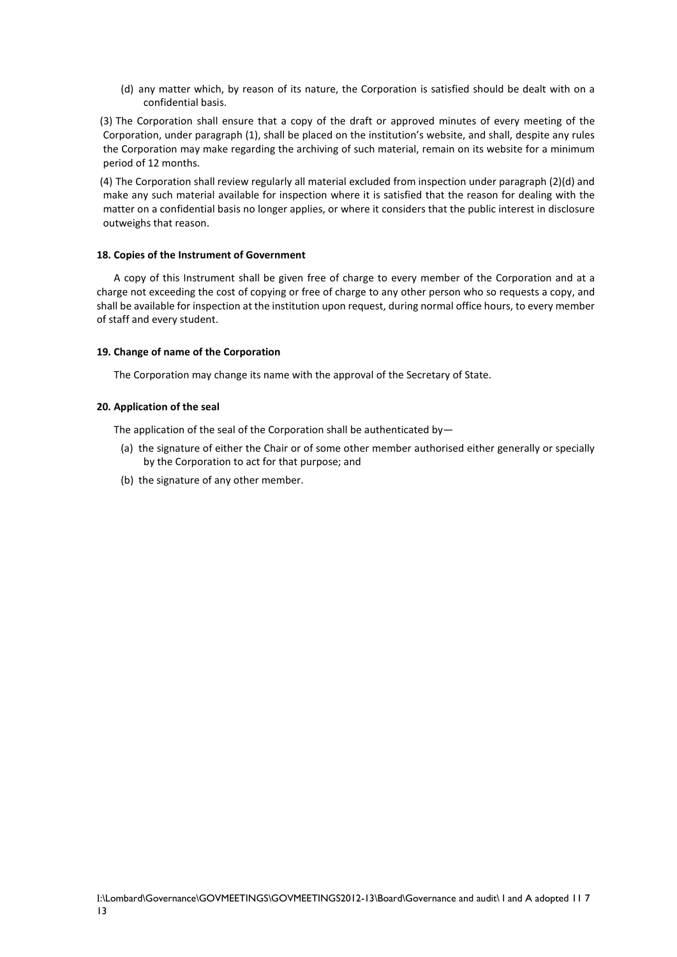(d) any matter which, by reason of its nature, the Corporation is satisfied should be dealt with on a confidential basis.

(3) The Corporation shall ensure that a copy of the draft or approved minutes of every meeting of the Corporation, under paragraph (1), shall be placed on the institution's website, and shall, despite any rules the Corporation may make regarding the archiving of such material, remain on its website for a minimum period of 12 months.

(4) The Corporation shall review regularly all material excluded from inspection under paragraph (2)(d) and make any such material available for inspection where it is satisfied that the reason for dealing with the matter on a confidential basis no longer applies, or where it considers that the public interest in disclosure outweighs that reason.

## **18. Copies of the Instrument of Government**

**15.** A copy of this Instrument shall be given free of charge to every member of the Corporation and at a charge not exceeding the cost of copying or free of charge to any other person who so requests a copy, and shall be available for inspection at the institution upon request, during normal office hours, to every member of staff and every student.

## **19. Change of name of the Corporation**

**16.** The Corporation may change its name with the approval of the Secretary of State.

## **20. Application of the seal**

**17.** The application of the seal of the Corporation shall be authenticated by—

- (a) the signature of either the Chair or of some other member authorised either generally or specially by the Corporation to act for that purpose; and
- (b) the signature of any other member.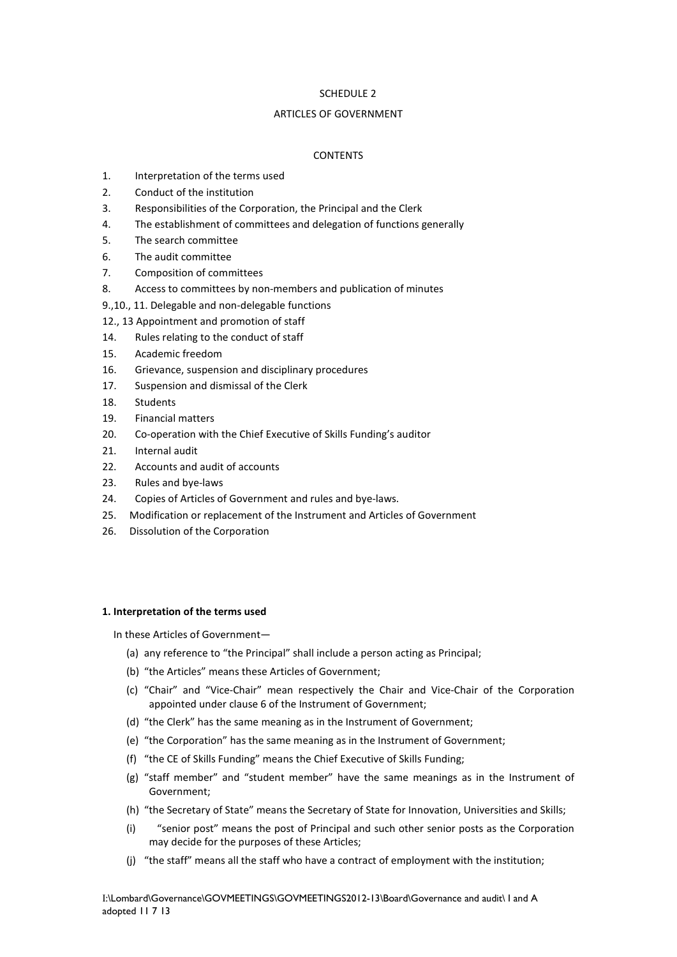## SCHEDULE 2

## ARTICLES OF GOVERNMENT

## **CONTENTS**

- 1. Interpretation of the terms used
- 2. Conduct of the institution
- 3. Responsibilities of the Corporation, the Principal and the Clerk
- 4. The establishment of committees and delegation of functions generally
- 5. The search committee
- 6. The audit committee
- 7. Composition of committees
- 8. Access to committees by non-members and publication of minutes
- 9.,10., 11. Delegable and non-delegable functions
- 12., 13 Appointment and promotion of staff
- 14. Rules relating to the conduct of staff
- 15. Academic freedom
- 16. Grievance, suspension and disciplinary procedures
- 17. Suspension and dismissal of the Clerk
- 18. Students
- 19. Financial matters
- 20. Co-operation with the Chief Executive of Skills Funding's auditor
- 21. Internal audit
- 22. Accounts and audit of accounts
- 23. Rules and bye-laws
- 24. Copies of Articles of Government and rules and bye-laws.
- 25. Modification or replacement of the Instrument and Articles of Government
- 26. Dissolution of the Corporation

#### **1. Interpretation of the terms used**

**1.** In these Articles of Government—

- (a) any reference to "the Principal" shall include a person acting as Principal;
- (b) "the Articles" means these Articles of Government;
- (c) "Chair" and "Vice-Chair" mean respectively the Chair and Vice-Chair of the Corporation appointed under clause 6 of the Instrument of Government;
- (d) "the Clerk" has the same meaning as in the Instrument of Government;
- (e) "the Corporation" has the same meaning as in the Instrument of Government;
- (f) "the CE of Skills Funding" means the Chief Executive of Skills Funding;
- (g) "staff member" and "student member" have the same meanings as in the Instrument of Government;
- (h) "the Secretary of State" means the Secretary of State for Innovation, Universities and Skills;
- (i) "senior post" means the post of Principal and such other senior posts as the Corporation may decide for the purposes of these Articles;
- (j) "the staff" means all the staff who have a contract of employment with the institution;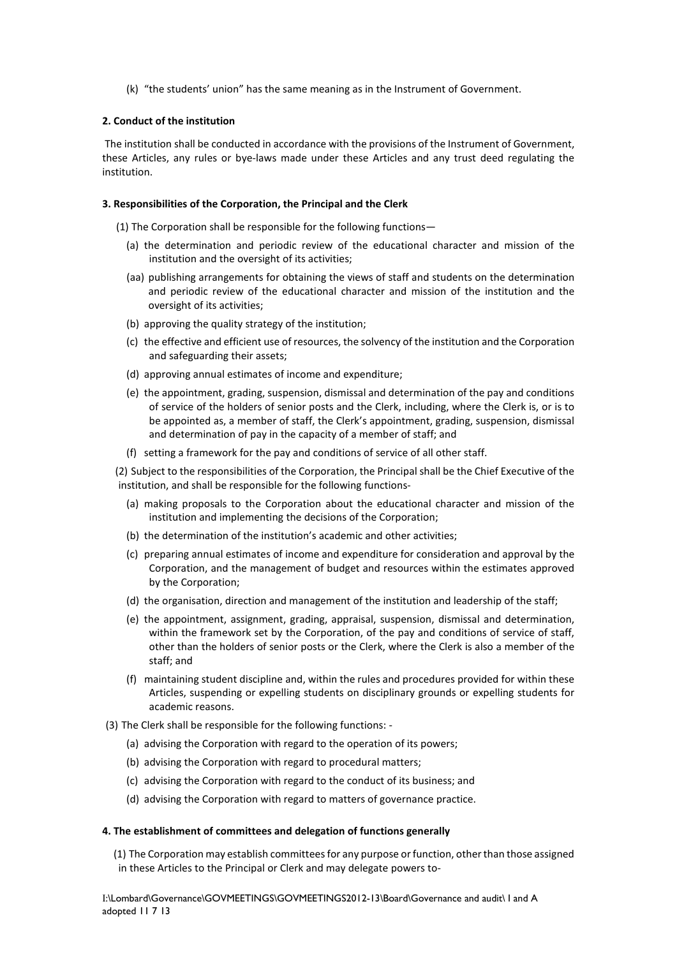(k) "the students' union" has the same meaning as in the Instrument of Government.

## **2. Conduct of the institution**

The institution shall be conducted in accordance with the provisions of the Instrument of Government, these Articles, any rules or bye-laws made under these Articles and any trust deed regulating the institution.

## **3. Responsibilities of the Corporation, the Principal and the Clerk**

**2.** (1) The Corporation shall be responsible for the following functions—

- (a) the determination and periodic review of the educational character and mission of the institution and the oversight of its activities;
- (aa) publishing arrangements for obtaining the views of staff and students on the determination and periodic review of the educational character and mission of the institution and the oversight of its activities;
- (b) approving the quality strategy of the institution;
- (c) the effective and efficient use of resources, the solvency of the institution and the Corporation and safeguarding their assets;
- (d) approving annual estimates of income and expenditure;
- (e) the appointment, grading, suspension, dismissal and determination of the pay and conditions of service of the holders of senior posts and the Clerk, including, where the Clerk is, or is to be appointed as, a member of staff, the Clerk's appointment, grading, suspension, dismissal and determination of pay in the capacity of a member of staff; and
- (f) setting a framework for the pay and conditions of service of all other staff.

(2) Subject to the responsibilities of the Corporation, the Principal shall be the Chief Executive of the institution, and shall be responsible for the following functions-

- (a) making proposals to the Corporation about the educational character and mission of the institution and implementing the decisions of the Corporation;
- (b) the determination of the institution's academic and other activities;
- (c) preparing annual estimates of income and expenditure for consideration and approval by the Corporation, and the management of budget and resources within the estimates approved by the Corporation;
- (d) the organisation, direction and management of the institution and leadership of the staff;
- (e) the appointment, assignment, grading, appraisal, suspension, dismissal and determination, within the framework set by the Corporation, of the pay and conditions of service of staff, other than the holders of senior posts or the Clerk, where the Clerk is also a member of the staff; and
- (f) maintaining student discipline and, within the rules and procedures provided for within these Articles, suspending or expelling students on disciplinary grounds or expelling students for academic reasons.
- (3) The Clerk shall be responsible for the following functions:
	- (a) advising the Corporation with regard to the operation of its powers;
	- (b) advising the Corporation with regard to procedural matters;
	- (c) advising the Corporation with regard to the conduct of its business; and
	- (d) advising the Corporation with regard to matters of governance practice.

#### **4. The establishment of committees and delegation of functions generally**

**3.** (1) The Corporation may establish committees for any purpose or function, other than those assigned in these Articles to the Principal or Clerk and may delegate powers to-

I:\Lombard\Governance\GOVMEETINGS\GOVMEETINGS2012-13\Board\Governance and audit\ I and A adopted 11 7 13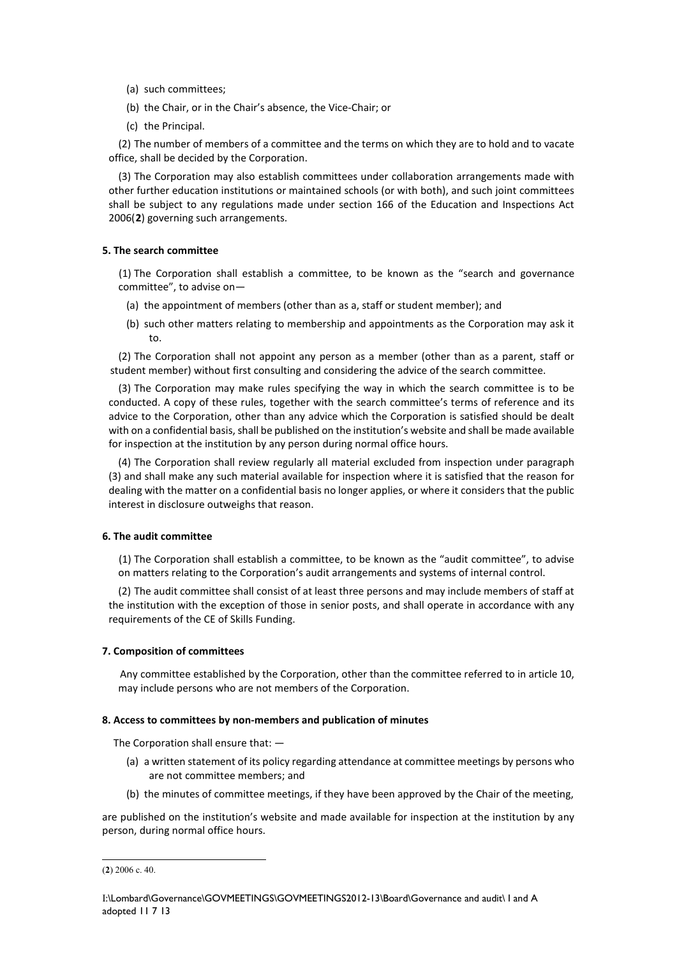- (a) such committees;
- (b) the Chair, or in the Chair's absence, the Vice-Chair; or
- (c) the Principal.

(2) The number of members of a committee and the terms on which they are to hold and to vacate office, shall be decided by the Corporation.

(3) The Corporation may also establish committees under collaboration arrangements made with other further education institutions or maintained schools (or with both), and such joint committees shall be subject to any regulations made under section 166 of the Education and Inspections Act 2006(**[2](#page-11-0)**) governing such arrangements.

## **5. The search committee**

**4.** (1) The Corporation shall establish a committee, to be known as the "search and governance committee", to advise on—

- (a) the appointment of members (other than as a, staff or student member); and
- (b) such other matters relating to membership and appointments as the Corporation may ask it to.

(2) The Corporation shall not appoint any person as a member (other than as a parent, staff or student member) without first consulting and considering the advice of the search committee.

(3) The Corporation may make rules specifying the way in which the search committee is to be conducted. A copy of these rules, together with the search committee's terms of reference and its advice to the Corporation, other than any advice which the Corporation is satisfied should be dealt with on a confidential basis, shall be published on the institution's website and shall be made available for inspection at the institution by any person during normal office hours.

(4) The Corporation shall review regularly all material excluded from inspection under paragraph (3) and shall make any such material available for inspection where it is satisfied that the reason for dealing with the matter on a confidential basis no longer applies, or where it considers that the public interest in disclosure outweighs that reason.

## **6. The audit committee**

**5.** (1) The Corporation shall establish a committee, to be known as the "audit committee", to advise on matters relating to the Corporation's audit arrangements and systems of internal control.

(2) The audit committee shall consist of at least three persons and may include members of staff at the institution with the exception of those in senior posts, and shall operate in accordance with any requirements of the CE of Skills Funding.

## **7. Composition of committees**

**6.** Any committee established by the Corporation, other than the committee referred to in article 10, may include persons who are not members of the Corporation.

#### **8. Access to committees by non-members and publication of minutes**

**7.** The Corporation shall ensure that: —

- (a) a written statement of its policy regarding attendance at committee meetings by persons who are not committee members; and
- (b) the minutes of committee meetings, if they have been approved by the Chair of the meeting,

are published on the institution's website and made available for inspection at the institution by any person, during normal office hours.

<span id="page-11-0"></span> <sup>(</sup>**2**) 2006 c. 40.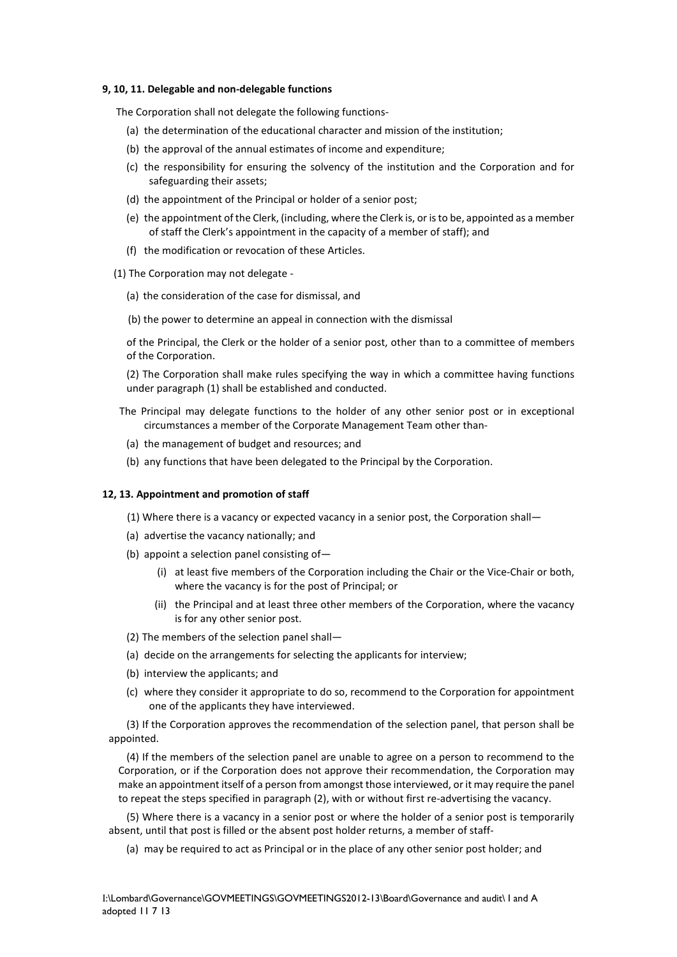#### **9, 10, 11. Delegable and non-delegable functions**

**8.** The Corporation shall not delegate the following functions-

- (a) the determination of the educational character and mission of the institution;
- (b) the approval of the annual estimates of income and expenditure;
- (c) the responsibility for ensuring the solvency of the institution and the Corporation and for safeguarding their assets;
- (d) the appointment of the Principal or holder of a senior post;
- (e) the appointment of the Clerk, (including, where the Clerk is, or is to be, appointed as a member of staff the Clerk's appointment in the capacity of a member of staff); and
- (f) the modification or revocation of these Articles.
- **9.** (1) The Corporation may not delegate
	- (a) the consideration of the case for dismissal, and
	- (b) the power to determine an appeal in connection with the dismissal

of the Principal, the Clerk or the holder of a senior post, other than to a committee of members of the Corporation.

(2) The Corporation shall make rules specifying the way in which a committee having functions under paragraph (1) shall be established and conducted.

- **10.** The Principal may delegate functions to the holder of any other senior post or in exceptional circumstances a member of the Corporate Management Team other than-
	- (a) the management of budget and resources; and
	- (b) any functions that have been delegated to the Principal by the Corporation.

#### **12, 13. Appointment and promotion of staff**

- **11.** (1) Where there is a vacancy or expected vacancy in a senior post, the Corporation shall—
- (a) advertise the vacancy nationally; and
- (b) appoint a selection panel consisting of—
	- (i) at least five members of the Corporation including the Chair or the Vice-Chair or both, where the vacancy is for the post of Principal; or
	- (ii) the Principal and at least three other members of the Corporation, where the vacancy is for any other senior post.
- (2) The members of the selection panel shall—
- (a) decide on the arrangements for selecting the applicants for interview;
- (b) interview the applicants; and
- (c) where they consider it appropriate to do so, recommend to the Corporation for appointment one of the applicants they have interviewed.

(3) If the Corporation approves the recommendation of the selection panel, that person shall be appointed.

(4) If the members of the selection panel are unable to agree on a person to recommend to the Corporation, or if the Corporation does not approve their recommendation, the Corporation may make an appointment itself of a person from amongst those interviewed, or it may require the panel to repeat the steps specified in paragraph (2), with or without first re-advertising the vacancy.

(5) Where there is a vacancy in a senior post or where the holder of a senior post is temporarily absent, until that post is filled or the absent post holder returns, a member of staff-

(a) may be required to act as Principal or in the place of any other senior post holder; and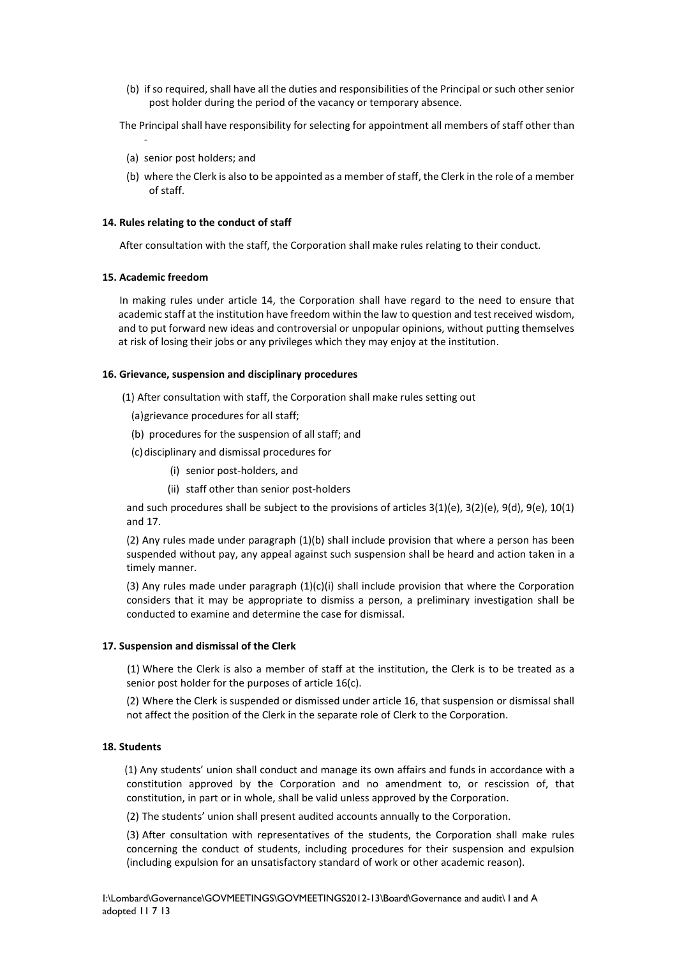- (b) if so required, shall have all the duties and responsibilities of the Principal or such other senior post holder during the period of the vacancy or temporary absence.
- **12.** The Principal shall have responsibility for selecting for appointment all members of staff other than
	- (a) senior post holders; and
	- (b) where the Clerk is also to be appointed as a member of staff, the Clerk in the role of a member of staff.

## **14. Rules relating to the conduct of staff**

**13.** After consultation with the staff, the Corporation shall make rules relating to their conduct.

## **15. Academic freedom**

-

**14.** In making rules under article 14, the Corporation shall have regard to the need to ensure that academic staff at the institution have freedom within the law to question and test received wisdom, and to put forward new ideas and controversial or unpopular opinions, without putting themselves at risk of losing their jobs or any privileges which they may enjoy at the institution.

## **16. Grievance, suspension and disciplinary procedures**

**15.** (1) After consultation with staff, the Corporation shall make rules setting out

- (a)grievance procedures for all staff;
- (b) procedures for the suspension of all staff; and
- (c)disciplinary and dismissal procedures for
	- (i) senior post-holders, and
	- (ii) staff other than senior post-holders

and such procedures shall be subject to the provisions of articles 3(1)(e), 3(2)(e), 9(d), 9(e), 10(1) and 17.

(2) Any rules made under paragraph (1)(b) shall include provision that where a person has been suspended without pay, any appeal against such suspension shall be heard and action taken in a timely manner.

(3) Any rules made under paragraph  $(1)(c)(i)$  shall include provision that where the Corporation considers that it may be appropriate to dismiss a person, a preliminary investigation shall be conducted to examine and determine the case for dismissal.

## **17. Suspension and dismissal of the Clerk**

**16.** (1) Where the Clerk is also a member of staff at the institution, the Clerk is to be treated as a senior post holder for the purposes of article 16(c).

(2) Where the Clerk is suspended or dismissed under article 16, that suspension or dismissal shall not affect the position of the Clerk in the separate role of Clerk to the Corporation.

## **18. Students**

**17.** (1) Any students' union shall conduct and manage its own affairs and funds in accordance with a constitution approved by the Corporation and no amendment to, or rescission of, that constitution, in part or in whole, shall be valid unless approved by the Corporation.

(2) The students' union shall present audited accounts annually to the Corporation.

(3) After consultation with representatives of the students, the Corporation shall make rules concerning the conduct of students, including procedures for their suspension and expulsion (including expulsion for an unsatisfactory standard of work or other academic reason).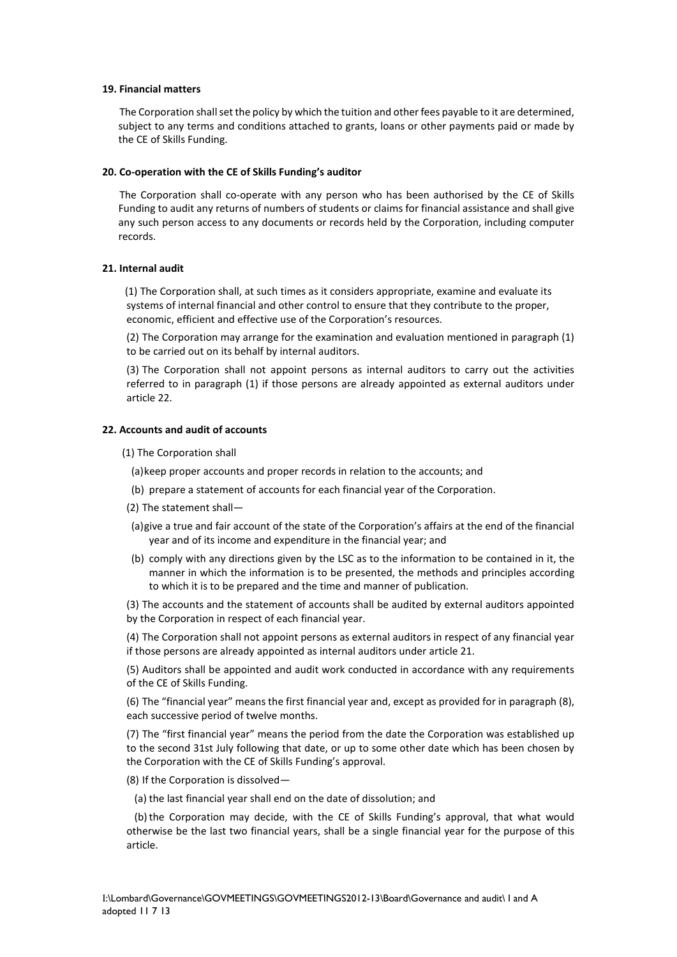#### **19. Financial matters**

**18.** The Corporation shall set the policy by which the tuition and other fees payable to it are determined, subject to any terms and conditions attached to grants, loans or other payments paid or made by the CE of Skills Funding.

#### **20. Co-operation with the CE of Skills Funding's auditor**

**19.** The Corporation shall co-operate with any person who has been authorised by the CE of Skills Funding to audit any returns of numbers of students or claims for financial assistance and shall give any such person access to any documents or records held by the Corporation, including computer records.

### **21. Internal audit**

**20.**(1) The Corporation shall, at such times as it considers appropriate, examine and evaluate its systems of internal financial and other control to ensure that they contribute to the proper, economic, efficient and effective use of the Corporation's resources.

(2) The Corporation may arrange for the examination and evaluation mentioned in paragraph (1) to be carried out on its behalf by internal auditors.

(3) The Corporation shall not appoint persons as internal auditors to carry out the activities referred to in paragraph (1) if those persons are already appointed as external auditors under article 22.

#### **22. Accounts and audit of accounts**

**21.** (1) The Corporation shall

(a)keep proper accounts and proper records in relation to the accounts; and

- (b) prepare a statement of accounts for each financial year of the Corporation.
- (2) The statement shall—
- (a)give a true and fair account of the state of the Corporation's affairs at the end of the financial year and of its income and expenditure in the financial year; and
- (b) comply with any directions given by the LSC as to the information to be contained in it, the manner in which the information is to be presented, the methods and principles according to which it is to be prepared and the time and manner of publication.

(3) The accounts and the statement of accounts shall be audited by external auditors appointed by the Corporation in respect of each financial year.

(4) The Corporation shall not appoint persons as external auditors in respect of any financial year if those persons are already appointed as internal auditors under article 21.

(5) Auditors shall be appointed and audit work conducted in accordance with any requirements of the CE of Skills Funding.

(6) The "financial year" means the first financial year and, except as provided for in paragraph (8), each successive period of twelve months.

(7) The "first financial year" means the period from the date the Corporation was established up to the second 31st July following that date, or up to some other date which has been chosen by the Corporation with the CE of Skills Funding's approval.

(8) If the Corporation is dissolved—

(a) the last financial year shall end on the date of dissolution; and

(b)the Corporation may decide, with the CE of Skills Funding's approval, that what would otherwise be the last two financial years, shall be a single financial year for the purpose of this article.